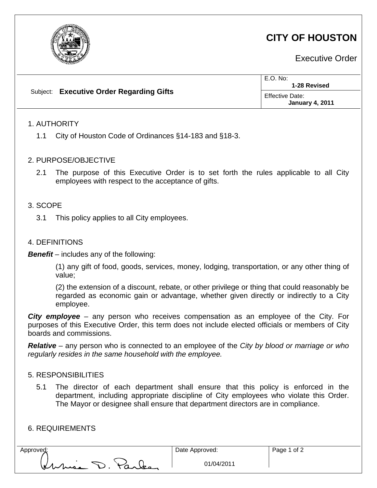

# **CITY OF HOUSTON**

Executive Order

|  | Subject: Executive Order Regarding Gifts | $E.O.$ No:<br>1-28 Revised                |
|--|------------------------------------------|-------------------------------------------|
|  |                                          | Effective Date:<br><b>January 4, 2011</b> |

## 1. AUTHORITY

1.1 City of Houston Code of Ordinances §14-183 and §18-3.

#### 2. PURPOSE/OBJECTIVE

2.1 The purpose of this Executive Order is to set forth the rules applicable to all City employees with respect to the acceptance of gifts.

#### 3. SCOPE

3.1 This policy applies to all City employees.

#### 4. DEFINITIONS

*Benefit –* includes any of the following:

(1) any gift of food, goods, services, money, lodging, transportation, or any other thing of value;

(2) the extension of a discount, rebate, or other privilege or thing that could reasonably be regarded as economic gain or advantage, whether given directly or indirectly to a City employee.

*City employee –* any person who receives compensation as an employee of the City. For purposes of this Executive Order, this term does not include elected officials or members of City boards and commissions.

*Relative –* any person who is connected to an employee of the *City by blood or marriage or who regularly resides in the same household with the employee.*

#### 5. RESPONSIBILITIES

5.1 The director of each department shall ensure that this policy is enforced in the department, including appropriate discipline of City employees who violate this Order. The Mayor or designee shall ensure that department directors are in compliance.

## 6. REQUIREMENTS

| Approved:       | Date Approved: |
|-----------------|----------------|
| Kuria D. Parley | 01/04          |